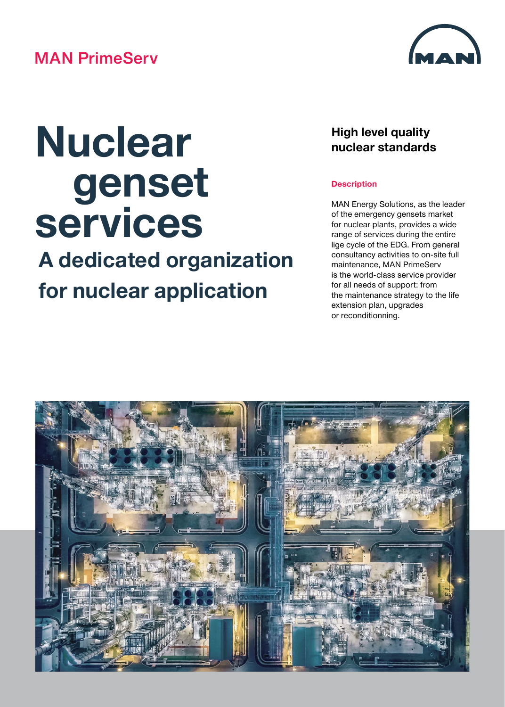## **MAN PrimeServ**



# **Nuclear genset services**

# **A dedicated organization for nuclear application**

### **High level quality nuclear standards**

#### **Description**

MAN Energy Solutions, as the leader of the emergency gensets market for nuclear plants, provides a wide range of services during the entire lige cycle of the EDG. From general consultancy activities to on-site full maintenance, MAN PrimeServ is the world-class service provider for all needs of support: from the maintenance strategy to the life extension plan, upgrades or reconditionning.